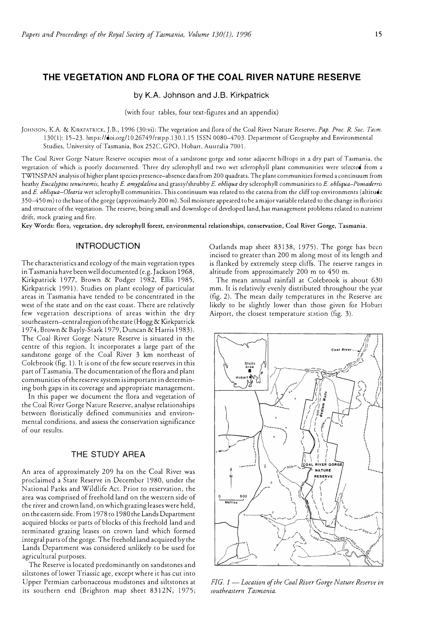**by K.A.** Johnson and **J.B.** Kirkpatrick

(with four tables, four text-figures and an appendix)

JOHNSON, K.A. & KIRKPATRICK, J.B., 1996 (30:vi): The vegetation and flora of the Coal River Nature Reserve. *Pap. Proc. R. Soc. Tasm.*  130(1 ): 15-23. https://doi.org/10.26749/rstpp.130.1.15 ISSN 0080-4703. Department of Geography and Environmental Studies, University of Tasmania, Box 252C, GPO, Hobart, Australia 7001.

The Coal River Gorge Nature Reserve occupies most of a sandstone gorge and some adjacent hilltops in a dry part of Tasmania, the vegetation of which is poorly documented. Three dry sclerophyll and two wet sclerophyll plant communities were selected from a TWIN SPAN analysis of higher plant species presence-absence data from 200 quadrats. The plant communities formed a continuum from heathy *Eucalyptus tenuiramis,* heathy E. *amygda!ina* and grassy/shrubby E. *ob!iqua* dry sclerophyll communities to E. *ob!iqua-Pomaderris*  and E. obliqua-Olearia wet sclerophyll communities. This continuum was related to the catena from the cliff top environments (altitude 3 50-4 5 0 m) to the base of the gorge (approximately 200 m). Soil moisture appeared to be a major variable related to the change in floristics and structure of the vegetation. The reserve, being small and downslope of developed land, has management problems related to nutrient drift, stock grazing and fire.

Key Words: flora, vegetation, dry sclerophyll forest, environmental relationships, conservation, Coal River Gorge, Tasmania.

### **INTRODUCTION**

The characteristics and ecology of the main vegetation types in Tasmania have been well documented (e.g. Jackson 1968, Kirkpatrick 1977, Brown & Podger 1982, Ellis 1985, Kirkpatrick 1991). Studies on plant ecology of particular areas in Tasmania have tended to be concentrated in the west of the state and on the east coast. There are relatively few vegetation descriptions of areas within the dry southeastern-central region of the state (Hogg & Kirkpatrick 1974, Brown & Bayly-Stark 1979, Duncan & Harris 1983). The Coal River Gorge Nature Reserve is situated in the centre of this region. It incorporates a large part of the sandstone gorge of the Coal River 3 km northeast of Colebrook (fig. I). It is one of the few secure reserves in this part of Tasmania. The documentation of the flora and plant communities of the reserve system is important in determining both gaps in its coverage and appropriate management.

In this paper we document the flora and vegetation of the Coal River Gorge Nature Reserve, analyse relationships between floristically defined communities and environmental conditions, and assess the conservation significance of our results.

# **THE STUDY AREA**

An area of approximately 209 ha on the Coal River was proclaimed a State Reserve in December 1980, under the National Parks and Wildlife Acc. Prior to reservation, the area was comprised of freehold land on the western side of the river and crown land, on which grazing leases were held, on the eastern side. From 1978 to 1980 the Lands Department acquired blocks or parts of blocks of chis freehold land and terminated grazing leases on crown land which formed integral parts of the gorge. The freehold land acquired by the Lands Department was considered unlikely to be used for agricultural purposes.

The Reserve is located predominantly on sandstones and siltstones of lower Triassic age, except where it has cut into Upper Permian carbonaceous mudstones and siltstones at its southern end (Brighton map sheet 8312N, 1975; Oatlands map sheet 83138, 1975). The gorge has been incised to greater than 200 m along most of its length and is flanked by extremely steep cliffs. The reserve ranges in altitude from approximately 200 m to 450 m.

The mean annual rainfall at Colebrook is about 630 mm. It is relatively evenly distributed throughout the year (fig. 2). The mean daily temperatures in the Reserve are likely to be slighcly lower than chose given for Hobart Airport, the closest temperature station (fig. 3).



*FIG. 1* - *Location of the Coal River Gorge Nature Reserve in southeastern Tasmania.*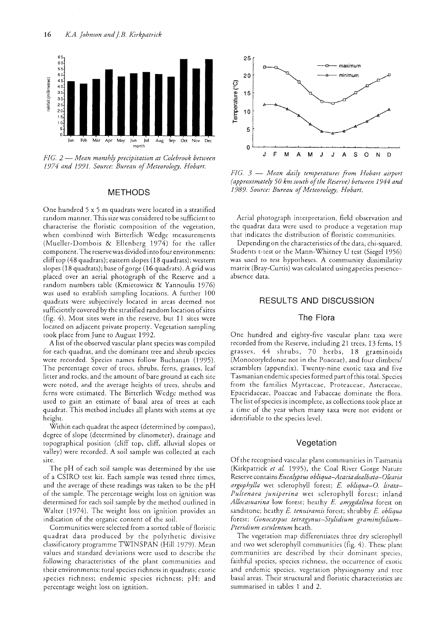

FIG. 2 – Mean monthly precipitation at Colebrook between 1974 and 1991. Source: Bureau of Meteorology, Hobart.

## **METHODS**

One hundred 5 x 5 m quadrats were located in a stratified random manner. This size was considered to be sufficient to characterise the floristic composition of the vegetation, when combined with Bitterlich Wedge measurements (Mueller-Dombois & Ellenberg 1974) for the taller component. The reserve was divided into four environments: cliff top (48 quadrats); eastern slopes (18 quadrats); western slopes (18 quadrats); base of gorge (16 quadrats). A grid was placed over an aerial photograph of the Reserve and a random numbers table (Kmietowicz & Yannoulis 1976) was used to establish sampling locations. A further 100 quadrats were subjectively located in areas deemed not sufficiently covered by the stratified random location of sites (fig. 4). Most sites were in the reserve, but 11 sites were located on adjacent private property. Vegetation sampling took place from June to August 1992.

A list of the observed vascular plant species was compiled for each quadrat, and the dominant tree and shrub species were recorded. Species names follow Buchanan (1995). The percentage cover of trees, shrubs, ferns, grasses, leaf litter and rocks, and the amount of bare ground at each site were noted, and the average heights of trees, shrubs and ferns were estimated. The Bitterlich Wedge method was used to gain an estimate of basal area of trees at each quadrat. This method includes all plants with stems at eye height.

Within each quadrat the aspect (determined by compass), degree of slope (determined by clinometer), drainage and topographical position (cliff top, cliff, alluvial slopes or valley) were recorded. A soil sample was collected at each site.

The pH of each soil sample was determined by the use of a CSIRO test kit. Each sample was tested three times, and the average of these readings was taken to be the pH of the sample. The percentage weight loss on ignition was determined for each soil sample by the method outlined in Walter (1974). The weight loss on ignition provides an indication of the organic content of the soil.

Communities were selected from a sorted table of floristic quadrat data produced by the polythetic divisive classificatory programme TWINSPAN (Hill 1979). Mean values and standard deviations were used to describe the following characteristics of the plant communities and their environments: total species richness in quadrats; exotic species richness; endemic species richness; pH; and percentage weight loss on ignition.



FIG. 3 - Mean daily temperatures from Hobart airport (approximately 50 km south of the Reserve) between 1944 and 1989. Source: Bureau of Meteorology, Hobart.

Aerial photograph interpretation, field observation and the quadrat data were used to produce a vegetation map that indicates the distribution of floristic communities.

Depending on the characteristics of the data, chi-squared, Students t-test or the Mann-Whitney U test (Siegel 1956) was used to test hypotheses. A community dissimilarity matrix (Bray-Curtis) was calculated using species presenceabsence data.

# **RESULTS AND DISCUSSION**

# The Flora

One hundred and eighty-five vascular plant taxa were recorded from the Reserve, including 21 trees, 13 ferns, 15 grasses, 44 shrubs, 70 herbs, 18 graminoids (Monocotyledonae not in the Poaceae), and four climbers/ scramblers (appendix). Twenty-nine exotic taxa and five Tasmanian endemic species formed part of this total. Species from the families Myrtaceae, Proteaceae, Asteraceae, Epacridaceae, Poaceae and Fabaceae dominate the flora. The list of species is incomplete, as collections took place at a time of the year when many taxa were not evident or identifiable to the species level.

### Vegetation

Of the recognised vascular plant communities in Tasmania (Kirkpatrick et al. 1995), the Coal River Gorge Nature Reserve contains Eucalyptus obliqua-Acacia dealbata-Olearia argophylla wet sclerophyll forest; E. obliqua-O. lirata-Pultenaea juniperina wet sclerophyll forest; inland Allocasuarina low forest; heathy E. amygdalina forest on sandstone; heathy E. tenuiramis forest; shrubby E. obliqua forest; Gonocarpus tetragynus-Stylidium graminifolium-Pteridium esculentum heath.

The vegetation map differentiates three dry sclerophyll and two wet sclerophyll communities (fig. 4). These plant communities are described by their dominant species, faithful species, species richness, the occurrence of exotic and endemic species, vegetation physiognomy and tree basal areas. Their structural and floristic characteristics are summarised in tables 1 and 2.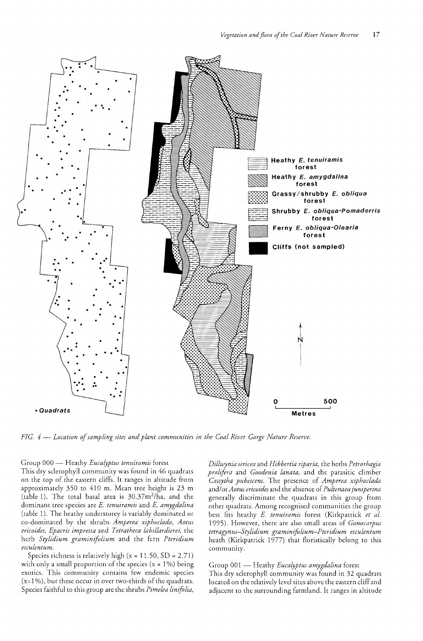

FIG. 4 – Location of sampling sites and plant communities in the Coal River Gorge Nature Reserve.

#### Group 000 - Heathy Eucalyptus tenuiramis forest

This dry sclerophyll community was found in 46 quadrats on the top of the eastern cliffs. It ranges in altitude from approximately 350 to 410 m. Mean tree height is 23 m (table 1). The total basal area is 30.37m<sup>2</sup>/ha, and the dominant tree species are E. tenuiramis and E. amygdalina (table 1). The heathy understorey is variably dominated or co-dominated by the shrubs Amperea xiphoclada, Aotus ericoides, Epacris impressa and Tetratheca labillardierei, the herb Stylidium graminifolium and the fern Pteridium esculentum.

Species richness is relatively high  $(x = 11.50, SD = 2.71)$ with only a small proportion of the species ( $x = 1\%$ ) being exotics. This community contains few endemic species  $(x=1\%)$ , but these occur in over two-thirds of the quadrats. Species faithful to this group are the shrubs *Pimelea linifolia*,

Dillwynia sericea and Hibbertia riparia, the herbs Petrorhagia prolifera and Goodenia lanata, and the parasitic climber Cassytha pubescens. The presence of Amperea xiphoclada and/or Aotus ericoides and the absence of Pultenaea juniperina generally discriminate the quadrats in this group from other quadrats. Among recognised communities the group best fits heathy E. tenuiramis forest (Kirkpatrick et al. 1995). However, there are also small areas of *Gonocarpus* tetragynus-Stylidium graminifolium-Pteridium esculentum heath (Kirkpatrick 1977) that floristically belong to this community.

### Group 001 - Heathy Eucalyptus amygdalina forest

This dry sclerophyll community was found in 32 quadrats located on the relatively level sites above the eastern cliff and adjacent to the surrounding farmland. It ranges in altitude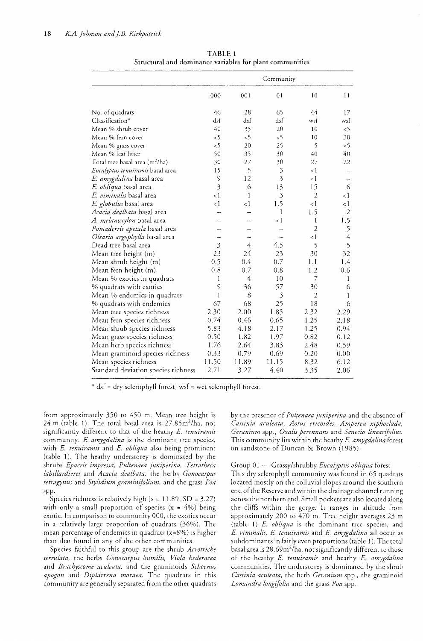|                                            | Community               |          |                |                |                |
|--------------------------------------------|-------------------------|----------|----------------|----------------|----------------|
|                                            | 000                     | 001      | 0 <sub>1</sub> | 10             | 11             |
| No. of quadrats                            | 46                      | 28       | 65             | 44             | 17             |
| Classification*                            | dsf                     | dsf      | dsf            | wsf            | wsf            |
| Mean % shrub cover                         | 40                      | 35       | 20             | 10             | &5             |
| Mean % fern cover                          | &5                      | $\leq$   | &5             | 10             | 30             |
| Mean % grass cover                         | &5                      | 20       | 25             | 5              | $\leq$ 5       |
| Mean % leaf litter                         | 50                      | 35       | 30             | 40             | 40             |
| Total tree basal area (m <sup>2</sup> /ha) | 30                      | 27       | 30             | 27             | 22             |
| <i>Eucalyptus tenuiramis</i> basal area    | 15                      | 5        | $\mathfrak z$  | $\leq$ 1       |                |
| <i>E. amygdalina</i> basal area            | 9                       | 12       | 3              | $\leq$ 1       |                |
| <i>E. obliqua</i> basal area               | $\overline{3}$          | 6        | 13             | 15             | 6              |
| E. viminalis basal area                    | $\leq 1$                | 1        | $\overline{3}$ | $\overline{2}$ | $\leq$ 1       |
| E. globulus basal area                     | $\leq$ 1                | $\leq$ 1 | 1.5            | $\leq$ 1       | $\leq$ 1       |
| <i>Acacia dealbata</i> basal area          |                         |          | $\mathbf{1}$   | 1.5            | $\overline{2}$ |
| <i>A. melanoxylon</i> basal area           |                         |          | $\leq$ 1       | $\mathbf{1}$   | 1.5            |
| <i>Pomaderris apetala</i> basal area       |                         |          |                | $\overline{2}$ | 5              |
| Olearia argophylla basal area              |                         |          |                | $\leq$ 1       | $\overline{4}$ |
| Dead tree basal area                       | $\overline{\mathbf{3}}$ | 4        | 4.5            | 5              | 5              |
| Mean tree height (m)                       | 23                      | 24       | 23             | 30             | 32             |
| Mean shrub height (m)                      | 0.5                     | 0.4      | 0.7            | 1.1            | 1.4            |
| Mean fern height (m)                       | 0.8                     | 0.7      | 0.8            | 1.2            | 0.6            |
| Mean % exotics in quadrats                 | 1                       | 4        | 10             | 7              | 1              |
| % quadrats with exotics                    | 9                       | 36       | 57             | 30             | 6              |
| Mean % endemics in quadrats                | $\mathbf{I}$            | 8        | 3              | $\overline{2}$ | 1              |
| $\%$ quadrats with endemics                | 67                      | 68       | 25             | 18             | 6              |
| Mean tree species richness                 | 2.30                    | 2.00     | 1.85           | 2.32           | 2.29           |
| Mean fern species richness                 | 0.74                    | 0.46     | 0.65           | 1.25           | 2.18           |
| Mean shrub species richness                | 5.83                    | 4.18     | 2.17           | 1.25           | 0.94           |
| Mean grass species richness                | 0.50                    | 1.82     | 1.97           | 0.82           | 0.12           |
| Mean herb species richness                 | 1.76                    | 2.64     | 3.83           | 2.48           | 0.59           |
| Mean graminoid species richness            | 0.33                    | 0.79     | 0.69           | 0.20           | 0.00           |
| Mean species richness                      | 11.50                   | 11.89    | 11.15          | 8.32           | 6.12           |
| Standard deviation species richness        | 2.71                    | 3.27     | 4.40           | 3.35           | 2.06           |
|                                            |                         |          |                |                |                |

TABLE 1 Structural and dominance variables for plant communities

\* dsf = dry sclerophyll forest, wsf = wet sclerophyll forest.

from approximately 350 to 450 m. Mean tree height is 24 m (table 1). The total basal area is 27.85m<sup>2</sup>/ha, not significantly different to that of the heathy E. tenuiramis community. E. amygdalina is the dominant tree species, with E. tenuiramis and E. obliqua also being prominent (table 1). The heathy understorey is dominated by the shrubs Epacris impressa, Pultenaea juniperina, Tetratheca labillardierei and Acacia dealbata, the herbs Gonocarpus tetragynus and Stylidium graminifolium, and the grass Poa

Species richness is relatively high  $(x = 11.89, SD = 3.27)$ with only a small proportion of species  $(x = 4\%)$  being exotic. In comparison to community 000, the exotics occur in a relatively large proportion of quadrats (36%). The mean percentage of endemics in quadrats  $(x=8\%)$  is higher than that found in any of the other communities.

Species faithful to this group are the shrub Acrotriche serrulata, the herbs Gonocarpus humilis, Viola hederacea and Brachyscome aculeata, and the graminoids Schoenus apogon and Diplarrena moraea. The quadrats in this community are generally separated from the other quadrats by the presence of Pultenaea juniperina and the absence of Cassinia aculeata, Aotus ericoides, Amperea xiphoclada, Geranium spp., Oxalis perennans and Senecio linearifolius. This community fits within the heathy E. amygdalina forest on sandstone of Duncan & Brown (1985).

Group 01 — Grassy/shrubby *Eucalyptus obliqua* forest This dry sclerophyll community was found in 65 quadrats located mostly on the colluvial slopes around the southern end of the Reserve and within the drainage channel running across the northern end. Small pockets are also located along the cliffs within the gorge. It ranges in altitude from approximately 200 to 470 m. Tree height averages 23 m (table 1) E. obliqua is the dominant tree species, and E. viminalis, E. tenuiramis and E. amygdalina all occur as subdominants in fairly even proportions (table 1). The total basal area is 28.69m<sup>2</sup>/ha, not significantly different to those of the heathy E. tenuiramis and heathy E. amygdalina communities. The understorey is dominated by the shrub Cassinia aculeata, the herb Geranium spp., the graminoid Lomandra longifolia and the grass Poa spp.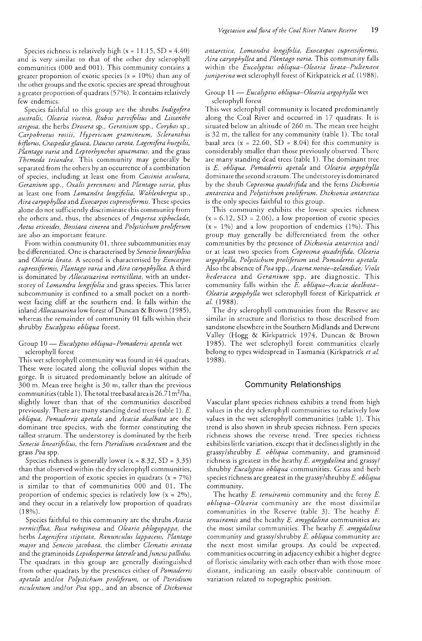Species richness is relatively high ( $x = 11.15$ , SD = 4.40) and is very similar to that of the other dry sclerophyll communities (000 and 001). This community contains a greater proportion of exotic species ( $x = 10\%$ ) than any of the other groups and the exotic species are spread throughout a greater proportion of quadrats (57%). It contains relatively few endemics.

Species faithful to this group are the shrubs Indigofera australis, Olearia viscosa, Rubus parvifolius and Lissanthe strigosa, the herbs Drosera sp., Geranium spp., Corybas sp., Carpobrotus rossii, Hypericum gramineum, Scleranthus biflorus, Craspedia glauca, Daucus carota, Lagenifera huegelii, Plantago varia and Leptorhynchos squamatus, and the grass Themeda triandra. This community may generally be separated from the others by an occurrence of a combination of species, including at least one from Cassinia aculeata, Geranium spp., Oxalis perennans and Plantago varia, plus at least one from Lomandra longifolia, Wahlenbergia sp., Aira caryophyllea and Exocarpos cupressiformis. These species alone do not sufficiently discriminate this community from the others and, thus, the absences of Amperea xiphoclada, Aotus ericoides, Bossiaea cinerea and Polystichum proliferum are also an important feature.

From within community 01, three subcommunities may be differentiated. One is characterised by Senecio linearifolius and Olearia lirata. A second is characterised by Exocarpos cupressiformis, Plantago varia and Aira caryophyllea. A third is dominated by Allocasuarina verticillata, with an understorey of Lomandra longifolia and grass species. This latter subcommunity is confined to a small pocket on a northwest facing cliff at the southern end. It falls within the inland *Allocasuarina* low forest of Duncan & Brown (1985), whereas the remainder of community 01 falls within their shrubby Eucalyptus obliqua forest.

#### Group 10 - Eucalyptus obliqua-Pomaderris apetala wet sclerophyll forest

This wet sclerophyll community was found in 44 quadrats. These were located along the colluvial slopes within the gorge. It is situated predominantly below an altitude of 300 m. Mean tree height is 30 m, taller than the previous communities (table 1). The total tree basal area is 26.71 m<sup>2</sup>/ha, slightly lower than that of the communities described previously. There are many standing dead trees (table 1). E. obliqua, Pomaderris apetala and Acacia dealbata are the dominant tree species, with the former constituting the tallest stratum. The understorey is dominated by the herb Senecio linearifolius, the fern Pteridium esculentum and the grass Poa spp.

Species richness is generally lower ( $x = 8.32$ , SD = 3.35) than that observed within the dry sclerophyll communities, and the proportion of exotic species in quadrats  $(x = 7\%)$ is similar to that of communities 000 and 01. The proportion of endemic species is relatively low  $(x = 2\%)$ , and they occur in a relatively low proportion of quadrats  $(18\%)$ .

Species faithful to this community are the shrubs Acacia verniciflua, Rosa rubiginosa and Olearia phlogopappa, the herbs Lagenifera stipitata, Ranunculus lappaceus, Plantago major and Senecio jacobaea, the climber Clematis aristata and the graminoids Lepidosperma laterale and Juncus pallidus. The quadrats in this group are generally distinguished from other quadrats by the presences either of *Pomaderris* apetala and/or Polystichum proliferum, or of Pteridium esculentum and/or Poa spp., and an absence of *Dicksonia* 

antarctica, Lomandra longifolia, Exocarpos cupressiformis, Aira caryophyllea and Plantago varia. This community falls within the Eucalyptus obliqua-Olearia lirata-Pultenaea juniperina wet sclerophyll forest of Kirkpatrick et al. (1988).

### Group 11 - Eucalyptus obliqua-Olearia argophylla wet sclerophyll forest

This wet sclerophyll community is located predominantly along the Coal River and occurred in 17 quadrats. It is situated below an altitude of 260 m. The mean tree height is 32 m, the tallest for any community (table 1). The total basal area (x = 22.60, SD = 8.04) for this community is considerably smaller than those previously observed. There are many standing dead trees (table 1). The dominant tree is E. obliqua. Pomaderris apetala and Olearia argophylla dominate the second stratum. The understorey is dominated by the shrub Coprosma quadrifida and the ferns Dicksonia antarctica and Polystichum proliferum. Dicksonia antarctica is the only species faithful to this group.

This community exhibits the lowest species richness  $(x = 6.12, SD = 2.06)$ , a low proportion of exotic species  $(x = 1\%)$  and a low proportion of endemics (1%). This group may generally be differentiated from the other communities by the presence of Dicksonia antarctica and/ or at least two species from Coprosma quadrifida, Olearia argophylla, Polystichum proliferum and Pomaderris apetala. Also the absence of Poa spp., Acaena novae-zelandiae, Viola *hederacea* and *Geranium* spp. are diagnostic. This community falls within the *E. obliqua-Acacia dealbata-Olearia argophylla* wet sclerophyll forest of Kirkpatrick et *at.* (1

The dry sclerophyll communities from the Reserve are similar in structure and floristics to those described from sandstone elsewhere in the Southern Midlands and Derwent Valley (Hogg & Kirkpatrick 1974, Duncan & Brown 1985). The wet sclerophyll forest communities clearly belong to types widespread in Tasmania (Kirkpatrick et al. 1988).

#### **Community Relationships**

Vascular plant species richness exhibits a trend from high values in the dry sclerophyll communities to relatively low values in the wet sclerophyll communities (table 1). This trend is also shown in shrub species richness. Fern species richness shows the reverse trend. Tree species richness exhibits little variation, except that it declines slightly in the grassy/shrubby E. obliqua community, and graminoid richness is greatest in the heathy E. amygdalina and grassy/ shrubby Eucalyptus obliqua communities. Grass and herb species richness are greatest in the grassy/shrubby *E. obliqua* community.

The heathy E. tenuiramis community and the ferny E. obliqua-Olearia community are the most dissimilar communities in the Reserve (table 3). The heathy E. tenuiramis and the heathy E. amygdalina communities are the most similar communities. The heathy E. amygdalina community and grassy/shrubby E. obliqua community are the next most similar groups. As could be expected, communities occurring in adjacency exhibit a higher degree of floristic similarity with each other than with those more distant, indicating an easily observable continuum of variation related to topographic position.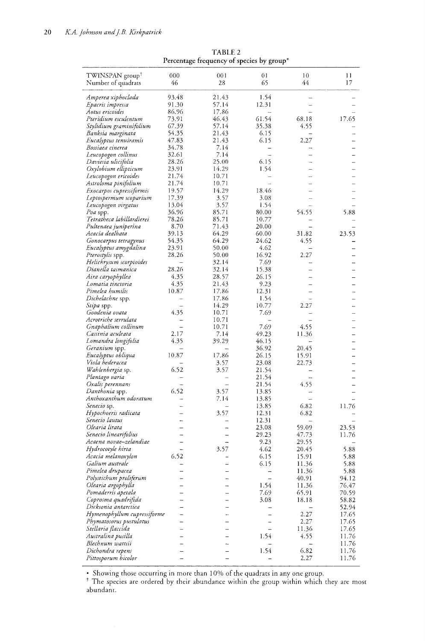| TWINSPAN group <sup>†</sup><br>Number of quadrats | 000<br>46      | 001<br>28      | 01<br>65                | 10<br>44 | 11<br>17 |
|---------------------------------------------------|----------------|----------------|-------------------------|----------|----------|
|                                                   |                |                |                         |          |          |
| Amperea xiphoclada                                | 93.48          | 21.43          | 1.54                    |          |          |
| Epacris impressa                                  | 91.30          | 57.14          | 12.31                   |          |          |
| Aotus ericoides<br>Pteridium esculentum           | 86.96<br>73.91 | 17.86<br>46.43 | $\overline{a}$<br>61.54 | 68.18    | 17.65    |
| Stylidium graminifolium                           | 67.39          | 57.14          | 35.38                   | 4.55     |          |
| Banksia marginata                                 | 54.35          | 21.43          | 6.15                    |          |          |
| Eucalyptus tenuiramis                             | 47.83          | 21.43          | 6.15                    | 2.27     |          |
| Bossiaea cinerea                                  | 34.78          | 7.14           | $\overline{a}$          |          |          |
| Leucopogon collinus                               | 32.61          | 7.14           | i.                      |          |          |
| Daviesia ulicifolia                               | 28.26          | 25.00          | 6.15                    |          |          |
| Oxylobium ellipticum                              | 23.91          | 14.29          | 1.54                    |          |          |
| Leucopogon ericoides                              | 21.74          | 10.71          |                         |          |          |
| Astroloma pinifolium                              | 21.74          | 10.71          |                         |          |          |
| Exocarpos cupressiformis                          | 19.57          | 14.29          | 18.46                   |          |          |
| Leptospermum scoparium                            | 17.39          | 3.57           | 3.08                    |          |          |
| Leucopogon virgatus                               | 13.04          | 3.57           | 1.54                    |          |          |
| Poa spp.                                          | 36.96          | 85.71          | 80.00                   | 54.55    | 5.88     |
| Tetratheca labillardierei                         | 78.26          | 85.71          | 10.77                   |          |          |
| Pultenaea juniperina                              | 8.70           | 71.43          | 20.00                   |          |          |
| Acacia dealbata                                   | 39.13          | 64.29          | 60.00                   | 31.82    | 23.53    |
| Gonocarpus tetragynus                             | 54.35          | 64.29          | 24.62                   | 4.55     |          |
| Eucalyptus amygdalina                             | 23.91          | 50.00          | 4.62                    |          |          |
| Pterostylis spp.                                  | 28.26          | 50.00<br>32.14 | 16.92<br>7.69           | 2.27     |          |
| Helichrysum scorpioides<br>Dianella tasmanica     | 28.26          | 32.14          | 15.38                   |          |          |
| Aira caryophyllea                                 | 4.35           | 28.57          | 26.15                   |          |          |
| Lomatia tinctoria                                 | 4.35           | 21.43          | 9.23                    |          |          |
| Pimelea humilis                                   | 10.87          | 17.86          | 12.31                   |          |          |
| Dichelachne spp.                                  | $\overline{a}$ | 17.86          | 1.54                    |          |          |
| Stipa spp.                                        |                | 14.29          | 10.77                   | 2.27     |          |
| Goodenia ovata                                    | 4.35           | 10.71          | 7.69                    |          |          |
| Acrotriche serrulata                              |                | 10.71          |                         |          |          |
| Gnaphalium collinum                               |                | 10.71          | 7.69                    | 4.55     |          |
| Cassinia aculeata                                 | 2.17           | 7.14           | 49.23                   | 11.36    |          |
| Lomandra longifolia                               | 4.35           | 39.29          | 46.15                   |          |          |
| Geranium spp.                                     |                | -              | 36.92                   | 20.45    |          |
| Eucalyptus obliqua                                | 10.87          | 17.86          | 26.15                   | 15.91    |          |
| Viola hederacea                                   |                | 3.57           | 23.08                   | 22.73    |          |
| Wahlenbergia sp.                                  | 6.52           | 3.57           | 21.54                   |          |          |
| Plantago varia                                    |                |                | 21.54                   |          |          |
| Oxalis perennans<br>Danthonia spp.                | 6.52           |                | 21.54                   | 4.55     |          |
| Anthoxanthum odoratum                             |                | 3.57<br>7.14   | 13.85                   |          |          |
| Senecio sp.                                       |                |                | 13.85<br>13.85          | 6.82     | 11.76    |
| Hypochoeris radicata                              |                | 3.57           | 12.31                   | 6.82     |          |
| Senecio lautus                                    |                |                | 12.31                   |          |          |
| Olearia lirata                                    |                |                | 23.08                   | 59.09    | 23.53    |
| Senecio linearifolius                             |                |                | 29.23                   | 47.73    | 11.76    |
| Acaena novae–zelandiae                            |                |                | 9.23                    | 29.55    |          |
| Hydrocotyle hirta                                 |                | 3.57           | 4.62                    | 20.45    | 5.88     |
| Acacia melanoxylon                                | 6.52           |                | 6.15                    | 15.91    | 5.88     |
| Galium australe                                   |                |                | 6.15                    | 11.36    | 5.88     |
| Pimelea drupacea                                  |                |                |                         | 11.36    | 5.88     |
| Polystichum proliferum                            |                |                |                         | 40.91    | 94.12    |
| Olearia argophylla                                |                |                | 1.54                    | 11.36    | 76.47    |
| Pomaderris apetala                                |                |                | 7.69                    | 65.91    | 70.59    |
| Coprosma quadrifida                               |                |                | 3.08                    | 18.18    | 58.82    |
| Dicksonia antarctica                              |                |                |                         |          | 52.94    |
| Hymenophyllum cupressiforme                       |                |                |                         | 2.27     | 17.65    |
| Phymatosorus pustulatus                           |                |                |                         | 2.27     | 17.65    |
| Stellaria flaccida                                |                |                |                         | 11.36    | 17.65    |
| Australina pusilla                                |                |                | 1.54                    | 4.55     | 11.76    |
| Blechnum wattsii                                  |                |                |                         |          | 11.76    |
| Dichondra repens                                  |                |                | 1.54                    | 6.82     | 11.76    |
| Pittosporum bicolor                               |                |                |                         | 2.27     | 11.76    |

TABLE<sub>2</sub> Percentage frequency of species by group\*

in more than 100/0 of the quadrats in anyone group.

their abundance within the group within which they are mostabundant.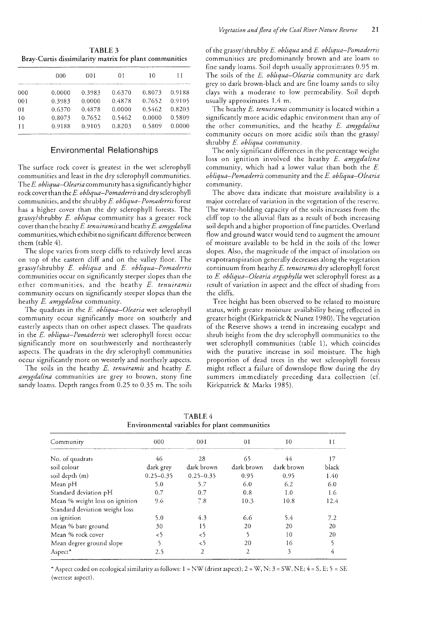**TABLE 3** Bray-Curtis dissimilarity matrix for plant communities

|                | 000    | 001    | 01     | 10     | 11     |
|----------------|--------|--------|--------|--------|--------|
| 000            | 0.0000 | 0.3983 | 0.6370 | 0.8073 | 0.9188 |
| 001            | 0.3983 | 0.0000 | 0.4878 | 0.7652 | 0.9105 |
| 0 <sub>1</sub> | 0.6370 | 0.4878 | 0.0000 | 0.5462 | 0.8203 |
| 10             | 0.8073 | 0.7652 | 0.5462 | 0.0000 | 0.5809 |
| 11             | 0.9188 | 0.9105 | 0.8203 | 0.5809 | 0.0000 |
|                |        |        |        |        |        |

# **Environmental Relationships**

The surface rock cover is greatest in the wet sclerophyll communities and least in the dry sclerophyll communities. The E. obliqua-Olearia community has a significantly higher rock cover than the E. obliqua-Pomaderris and dry sclerophyll communities, and the shrubby E. obliqua-Pomaderris forest has a higher cover than the dry sclerophyll forests. The grassy/shrubby E. obliqua community has a greater rock cover than the heathy E. tenuiramis and heathy E. amygdalina communities, which exhibit no significant difference between them (table 4).

The slope varies from steep cliffs to relatively level areas on top of the eastern cliff and on the valley floor. The grassy/shrubby E. obliqua and E. obliqua-Pomaderris communities occur on significantly steeper slopes than the other communities, and the heathy E. tenuiramis community occurs on significantly steeper slopes than the heathy E. amygdalina community.

The quadrats in the E. obliqua-Olearia wet sclerophyll community occur significantly more on southerly and easterly aspects than on other aspect classes. The quadrats in the E. obliqua-Pomaderris wet sclerophyll forest occur significantly more on southwesterly and northeasterly aspects. The quadrats in the dry sclerophyll communities occur significantly more on westerly and northerly aspects.

The soils in the heathy E. tenuiramis and heathy E. amygdalina communities are grey to brown, stony fine sandy loams. Depth ranges from 0.25 to 0.35 m. The soils

of the grassy/shrubby E. obliqua and E. obliqua-Pomaderris communities are predominantly brown and are loam to fine sandy loams. Soil depth usually approximates 0.95 m. The soils of the E. obliqua-Olearia community are dark grey to dark brown-black and are fine loamy sands to silty clays with a moderate to low permeability. Soil depth usually approximates 1.4 m.

The heathy E. tenuiramis community is located within a significantly more acidic edaphic environment than any of the other communities, and the heathy E. amygdalina community occurs on more acidic soils than the grassy/ shrubby E. obliqua community.

The only significant differences in the percentage weight loss on ignition involved the heathy E. amygdalina community, which had a lower value than both the E. obliqua-Pomaderris community and the E. obliqua-Olearia community.

The above data indicate that moisture availability is a major correlate of variation in the vegetation of the reserve. The water-holding capacity of the soils increases from the cliff top to the alluvial flats as a result of both increasing soil depth and a higher proportion of fine particles. Overland flow and ground water would tend to augment the amount of moisture available to be held in the soils of the lower slopes. Also, the magnitude of the impact of insolation on evapotranspiration generally decreases along the vegetation continuum from heathy E. tenuiramis dry sclerophyll forest to E. obliqua-Olearia argophylla wet sclerophyll forest as a result of variation in aspect and the effect of shading from the cliffs.

Tree height has been observed to be related to moisture status, with greater moisture availability being reflected in greater height (Kirkpatrick & Nunez 1980). The vegetation of the Reserve shows a trend in increasing eucalypt and shrub height from the dry sclerophyll communities to the wet sclerophyll communities (table 1), which coincides with the putative increase in soil moisture. The high proportion of dead trees in the wet sclerophyll forests might reflect a failure of downslope flow during the dry summers immediately preceding data collection (cf. Kirkpatrick & Marks 1985).

| Environmental variables for plant communities |               |               |            |            |       |
|-----------------------------------------------|---------------|---------------|------------|------------|-------|
| Community                                     | $000 -$       | 001           | 01         | 10         | 11    |
| No. of quadrats                               | 46            | 28            | 65         | 44         | 17    |
| soil colour                                   | dark grey     | dark brown    | dark brown | dark brown | black |
| soil depth (m)                                | $0.25 - 0.35$ | $0.25 - 0.35$ | 0.95       | 0.95       | 1.40  |
| Mean pH                                       | 5.0           | 5.7           | 6.0        | 6.2        | 6.0   |
| Standard deviation pH                         | 0.7           | 0.7           | 0.8        | 1.0        | 1.6   |
| Mean % weight loss on ignition                | 9.6           | 7.8           | 10.3       | 10.8       | 12.4  |
| Standard deviation weight loss                |               |               |            |            |       |
| on ignition                                   | 5.0           | 4.3           | 6.6        | 5.4        | 7.2   |
| Mean % bare ground                            | 30            | 15            | 20         | 20         | 20    |
| Mean % rock cover                             | $\leq$        | $\leq$        |            | 10         | 20    |
| Mean degree ground slope                      |               | $\leq$        | 20         | 16         |       |
| Aspect*                                       | 2.5           | 2             | 2          | 3          | 4     |

TABLE 4

\* Aspect coded on ecological similarity as follows:  $1 = NW$  (driest aspect);  $2 = W, N$ ;  $3 = SW, NE$ ;  $4 = S, E$ ;  $5 = SE$ (wettest aspect).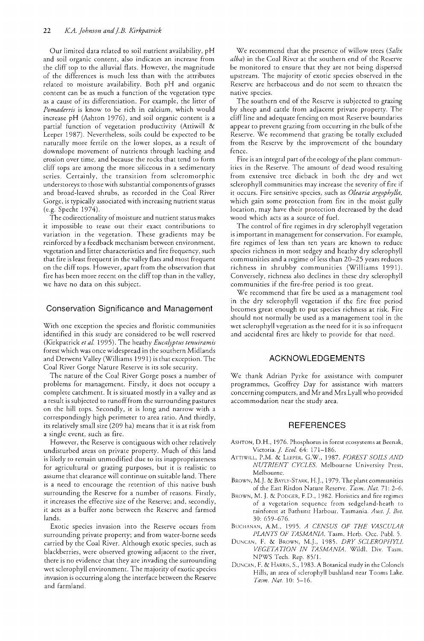Our limited data related to soil nutrient availability, pH and soil organic content, also indicates an increase from the cliff top to the alluvial flats. However, the magnitude of the differences is much less than with the attributes related to moisture availability. Both pH and organic content can be as much a function of the vegetation type as a cause of its differentiation. For example, the litter of Pomaderris is know to be rich in calcium, which would increase pH (Ashton 1976), and soil organic content is a partial function of vegetation productivity (Attiwill & Leeper 1987). Nevertheless, soils could be expected to be naturally more fertile on the lower slopes, as a result of downslope movement of nutrients through leaching and erosion over time, and because the rocks that tend to form cliff tops are among the more siliceous in a sedimentary series. Certainly, the transition from scleromorphic understoreys to those with substantial components of grasses and broad-leaved shrubs, as recorded in the Coal River Gorge, is typically associated with increasing nutrient status (e.g. Specht 1974).

The codirectionality of moisture and nutrient status makes it impossible to tease out their exact contributions to variation in the vegetation. These gradients may be reinforced by a feedback mechanism between environment, vegetation and litter characteristics and fire frequency, such that fire is least frequent in the valley flats and most frequent on the cliff tops. However, apart from the observation that fire has been more recent on the cliff top than in the valley, we have no data on this subject.

### **Conservation Significance and Management**

With one exception the species and floristic communities identified in this study are considered to be well reserved (Kirkpatrick et al. 1995). The heathy Eucalyptus tenuiramis forest which was once widespread in the southern Midlands and Derwent Valley (Williams 1991) is that exception. The Coal River Gorge Nature Reserve is its sole security.

The nature of the Coal River Gorge poses a number of problems for management. Firstly, it does not occupy a complete catchment. It is situated mostly in a valley and as a result is subjected to runoff from the surrounding pastures on the hill tops. Secondly, it is long and narrow with a correspondingly high perimeter to area ratio. And thirdly, its relatively small size (209 ha) means that it is at risk from a single event, such as fire.

However, the Reserve is contiguous with other relatively undisturbed areas on private property. Much of this land is likely to remain unmodified due to its inappropriateness for agricultural or grazing purposes, but it is realistic to assume that clearance will continue on suitable land. There is a need to encourage the retention of this native bush surrounding the Reserve for a number of reasons. Firstly, it increases the effective size of the Reserve; and, secondly, it acts as a buffer zone between the Reserve and farmed lands.

Exotic species invasion into the Reserve occurs from surrounding private property; and from water-borne seeds carried by the Coal River. Although exotic species, such as blackberries, were observed growing adjacent to the river, there is no evidence that they are invading the surrounding wet sclerophyll environment. The majority of exotic species invasion is occurring along the interface between the Reserve and farmland.

We recommend that the presence of willow trees (Salix alba) in the Coal River at the southern end of the Reserve be monitored to ensure that they are not being dispersed upstream. The majority of exotic species observed in the Reserve are herbaceous and do not seem to threaten the native species.

The southern end of the Reserve is subjected to grazing by sheep and cattle from adjacent private property. The cliff line and adequate fencing on most Reserve boundaries appear to prevent grazing from occurring in rhe bulk of the Reserve. We recommend that grazing be totally excluded from the Reserve by the improvement of the boundary fence.

Fire is an integral part of the ecology of the plant communities in the Reserve. The amount of dead wood resulting from extensive tree dieback in both the dry and wet sclerophyll communities may increase the severity of fire if it occurs. Fire sensitive species, such as Olearia argophylla, which gain some protection from fire in the moist gully location, may have their protection decreased by the dead wood which acts as a source of fuel.

The control of fire regimes in dry sclerophyll vegetation is important in management for conservation. For example, fire regimes of less than ten years are known to reduce species richness in most sedgey and heathy dry sclerophyll communities and a regime of less than 20-25 years reduces richness in shrubby communities (Williams 1991). Conversely, richness also declines in these dry sclerophyll communities if the fire-free period is too great.

We recommend that fire be used as a management tool in the dry sclerophyll vegetation if the fire free period becomes great enough to put species richness at risk. Fire should not normally be used as a management tool in the wet sclerophyll vegetation as the need for it is so infrequent and accidental fires are likely to provide for that need.

# **ACKNOWLEDGEMENTS**

We thank Adrian Pyrke for assistance with computer programmes, Geoffrey Day for assistance with matters concerning computers, and Mr and Mrs Lyall who provided accommodation near the study area.

### **REFERENCES**

- ASHTON, D.H., 1976. Phosphorus in forest ecosystems at Beenak, Victoria. *J. Ecol.* 64: 171-186.
- ATTIWILL, P.M. & LEEPER, G.W., 1987. FOREST SOILS AND NUTRIENT CYCLES. Melbourne University Press, Melbourne.
- BROWN, M.J. & BAYLY-STARK, H.J., 1979. The plant communities of the East Risdon Nature Reserve. Tasm. Nat. 71: 2-6.
- BROWN, M. J. & PODGER, F.D., 1982. Floristics and fire regimes of a vegetation sequence from sedgeland-heath to rainforest at Bathurst Harbour, Tasmania. Aust. J. Bot. 30: 659–676.
- BUCHANAN, A.M., 1995. A CENSUS OF THE VASCULAR PLANTS OF TASMANIA. Tasm. Herb. Occ. Publ. 5.
- DUNCAN, F. & BROWN, M.J., 1985. DRY SCLEROPHYLL VEGETATION IN TASMANIA. Wildl. Div. Tasm. NPWS Tech. Rep. 85/1.
- DUNCAN, F. & HARRIS, S., 1983. A Botanical study in the Colonels Hills, an area of sclerophyll bushland near Tooms Lake. Tasm. Nat. 10: 5-16.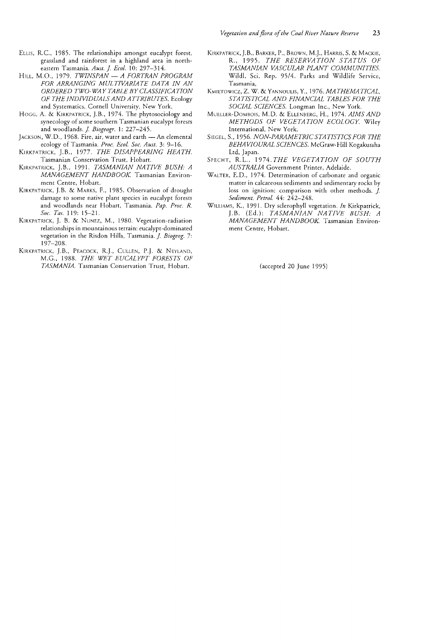- ELLIS, R.C., 1985. The relationships amongst eucalypt forest, grassland and rainforest in a highland area in northeastern Tasmania. *Aust. J Ecol.* 10: 297-314.
- HILL, M.O., 1979. *TWINSPAN A FORTRAN PROGRAM FOR ARRANGING MULTIVARIATE DATA IN AN ORDERED TWO-WAY TABLE BYCLASSIFICATION OF THE INDIVIDUALS AND ATTRIBUTES.* Ecology and Systematics, Cornell University, New York.
- HOGG, A. & KIRKPATRICK, J.B., 1974. The phytosociology and synecology of some southern Tasmanian eucalypt foresrs and woodlands. *J Biogeogr.* 1: 227-245.
- JACKSON, W.D., 1968. Fire, air, water and earth An elemental ecology of Tasmania. *Proc. Ecol. Soc. Aust.* 3: 9-16.
- KIRKPATRICK, J.B., 1977. *THE DISAPPEARING HEATH.* Tasmanian Conservation Trust, Hobart.
- KIRKPATRICK, J.B., 1991. *TASMANIAN NATIVE BUSH: A MANAGEMENT HANDBOOK* Tasmanian Environment Centre, Hobart.
- KIRKPATRICK, J.B. & MARKS, F., 1985. Observation of drought damage to some native plant species in eucalypt forests and woodlands near Hobart, Tasmania. *Pap. Proc. R. Soc. Tas.* 119: 15-21.
- KIRKPATRICK, J. B. & NUNEZ, M., 1980. Vegetation-radiation relationships in mountainous terrain: eucalypt-dominated vegetation in the Risdon Hills, Tasmania. *J. Biogeog.* 7: 197-208.
- KIRKPATRICK, J.B., PEACOCK, R.J., CULLEN, P.J. & NEYLAND, M.G., 1988. *THE WET EUCALYPT FORESTS Of' TASMANIA.* Tasmanian Conservation Trust, Hobart.
- KIRKPATRICK, J.B., BARKER, P., BROWN, M.]., HARRIS, S. & MACKIE, R., 1995. *THE RESt'RVATION STATUS OF TASMANIAN VASCULAR PLANT COMMUNITIES.* Wild!. Sci. Rep. 95/4. Parks and Wildlife Service, Tasmania,
- KMIETOWICZ, Z. W. & YANNOULlS, Y., 1976. *MATHEMATICAL, STA TISTICAL AND FINANCIAL TABLES FOR THE SOCIAL SCIENCES.* Longman Inc., New York.
- MUELLER-DoMBOIS, M.D. & ELLENBERG, H., 1974. *AIMS AND METHODS OF VEGETATION ECOLOGY* Wiley International, New York.
- SIEGEL, S., 1956. *NON-PARAMETRIC STATISTICS FOR THE BEHAVIOURAL SCIENCES.* McGraw-Hill Kogakussha Ltd, Japan.
- SPECHT, R.L., 1974. *THE VEGETATION OF SOUTH AUSTRALIA* Government Printer, Adelaide.
- WALTER, E.D., 1974. Determination of carbonate and organic matter in calcareous sediments and sedimentary rocks by loss on ignition: comparison with other methods. J. *Sediment. Petrol.* 44: 242-248.
- WILLIAMS, K., 1991. Dry sclerophyll vegetation. *In* Kirkpatrick, J.B. (Ed.): *TASMANIAN NATIVE BUSH: A MANAGEMENT HANDBOOK* Tasmanian Environment Centre, Hobart.

(accepted 20 June 1995)